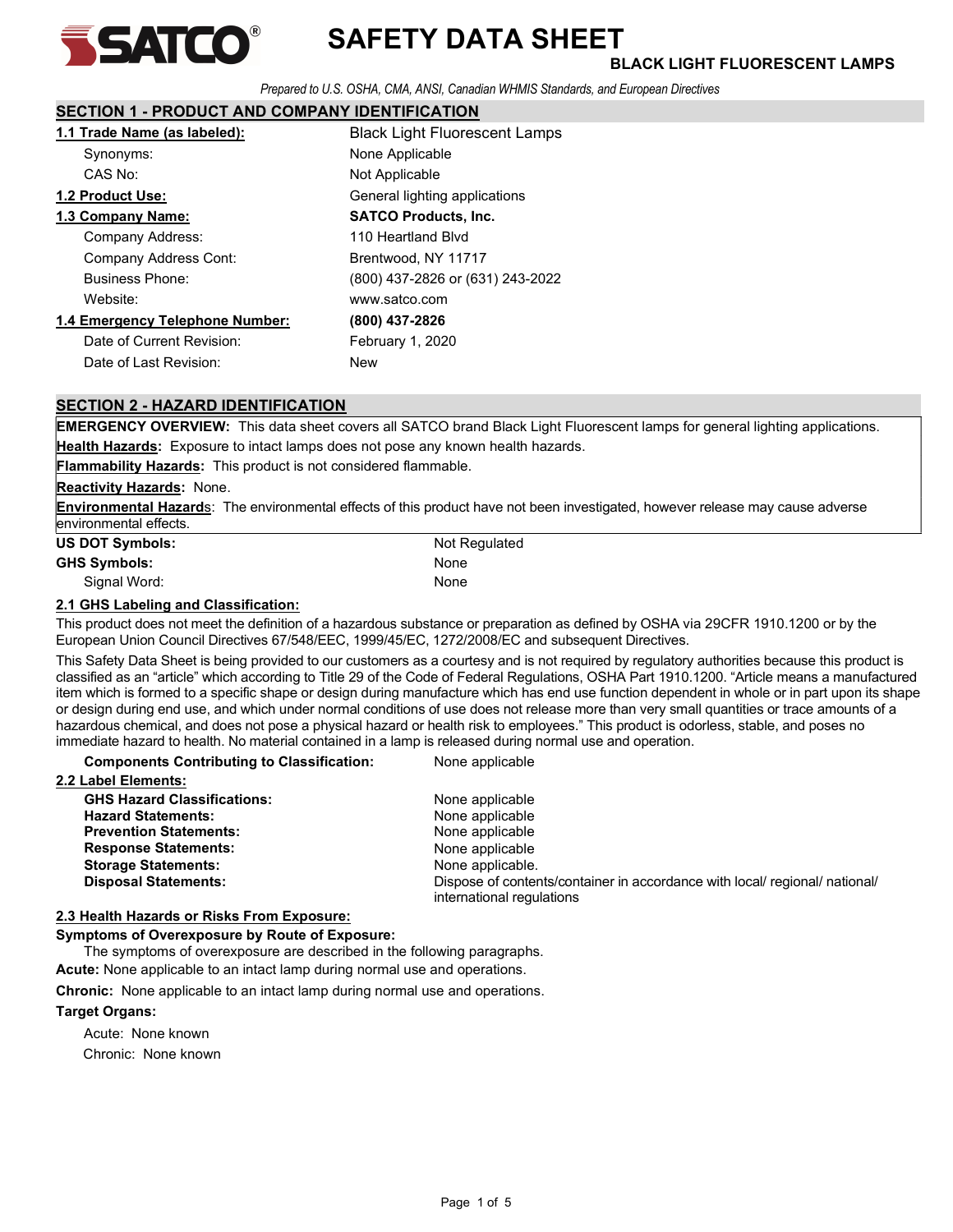

# SAFETY DATA SHEET

Prepared to U.S. OSHA, CMA, ANSI, Canadian WHMIS Standards, and European Directives

# SECTION 1 - PRODUCT AND COMPANY IDENTIFICATION

| 1.1 Trade Name (as labeled):    | <b>Black Light Fluorescent Lamps</b> |
|---------------------------------|--------------------------------------|
| Synonyms:                       | None Applicable                      |
| CAS No:                         | Not Applicable                       |
| 1.2 Product Use:                | General lighting applications        |
| 1.3 Company Name:               | <b>SATCO Products, Inc.</b>          |
| Company Address:                | 110 Heartland Blvd                   |
| Company Address Cont:           | Brentwood, NY 11717                  |
| <b>Business Phone:</b>          | (800) 437-2826 or (631) 243-2022     |
| Website:                        | www.satco.com                        |
| 1.4 Emergency Telephone Number: | (800) 437-2826                       |
| Date of Current Revision:       | February 1, 2020                     |
| Date of Last Revision:          | New                                  |

# SECTION 2 - HAZARD IDENTIFICATION

EMERGENCY OVERVIEW: This data sheet covers all SATCO brand Black Light Fluorescent lamps for general lighting applications. Health Hazards: Exposure to intact lamps does not pose any known health hazards.

Flammability Hazards: This product is not considered flammable.

### **Reactivity Hazards: None.**

Environmental Hazards: The environmental effects of this product have not been investigated, however release may cause adverse environmental effects.

| <b>US DOT Symbols:</b> | Not Regulated |
|------------------------|---------------|
| <b>GHS Symbols:</b>    | None          |
| Signal Word:           | None          |

### 2.1 GHS Labeling and Classification:

This product does not meet the definition of a hazardous substance or preparation as defined by OSHA via 29CFR 1910.1200 or by the European Union Council Directives 67/548/EEC, 1999/45/EC, 1272/2008/EC and subsequent Directives.

This Safety Data Sheet is being provided to our customers as a courtesy and is not required by regulatory authorities because this product is classified as an "article" which according to Title 29 of the Code of Federal Regulations, OSHA Part 1910.1200. "Article means a manufactured item which is formed to a specific shape or design during manufacture which has end use function dependent in whole or in part upon its shape or design during end use, and which under normal conditions of use does not release more than very small quantities or trace amounts of a hazardous chemical, and does not pose a physical hazard or health risk to employees." This product is odorless, stable, and poses no immediate hazard to health. No material contained in a lamp is released during normal use and operation.

Disposal Statements: Dispose of contents/container in accordance with local/ regional/ national/ international regulations

Components Contributing to Classification: None applicable

| 2.2 Label Elements:                |                  |
|------------------------------------|------------------|
| <b>GHS Hazard Classifications:</b> | None applicable  |
| <b>Hazard Statements:</b>          | None applicable  |
| <b>Prevention Statements:</b>      | None applicable  |
| <b>Response Statements:</b>        | None applicable  |
| <b>Storage Statements:</b>         | None applicable. |

# 2.3 Health Hazards or Risks From Exposure:

Symptoms of Overexposure by Route of Exposure:

The symptoms of overexposure are described in the following paragraphs.

Acute: None applicable to an intact lamp during normal use and operations.

Chronic: None applicable to an intact lamp during normal use and operations.

# Target Organs:

 Acute: None known Chronic: None known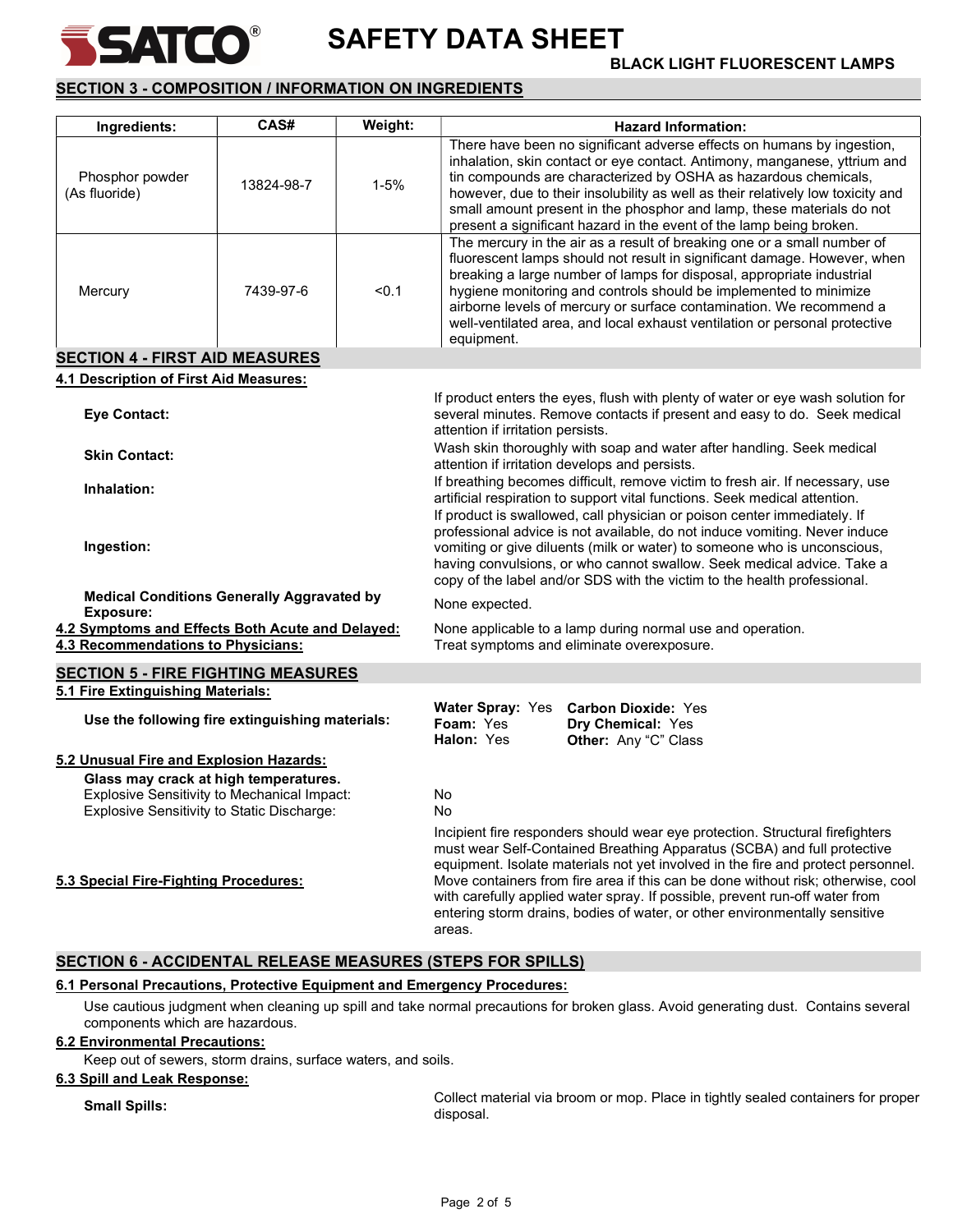

# SAFETY DATA SHEET **BATEO** BAFETY DATA SHEET

# SECTION 3 - COMPOSITION / INFORMATION ON INGREDIENTS

| Ingredients:                                                                                                                              | CAS#       | Weight:  | <b>Hazard Information:</b>                                                                                                                                                                                                                                                                                                                                                                                                                                                                              |
|-------------------------------------------------------------------------------------------------------------------------------------------|------------|----------|---------------------------------------------------------------------------------------------------------------------------------------------------------------------------------------------------------------------------------------------------------------------------------------------------------------------------------------------------------------------------------------------------------------------------------------------------------------------------------------------------------|
| Phosphor powder<br>(As fluoride)                                                                                                          | 13824-98-7 | $1 - 5%$ | There have been no significant adverse effects on humans by ingestion,<br>inhalation, skin contact or eye contact. Antimony, manganese, yttrium and<br>tin compounds are characterized by OSHA as hazardous chemicals,<br>however, due to their insolubility as well as their relatively low toxicity and<br>small amount present in the phosphor and lamp, these materials do not<br>present a significant hazard in the event of the lamp being broken.                                               |
| Mercury                                                                                                                                   | 7439-97-6  | < 0.1    | The mercury in the air as a result of breaking one or a small number of<br>fluorescent lamps should not result in significant damage. However, when<br>breaking a large number of lamps for disposal, appropriate industrial<br>hygiene monitoring and controls should be implemented to minimize<br>airborne levels of mercury or surface contamination. We recommend a<br>well-ventilated area, and local exhaust ventilation or personal protective<br>equipment.                                    |
| <b>SECTION 4 - FIRST AID MEASURES</b>                                                                                                     |            |          |                                                                                                                                                                                                                                                                                                                                                                                                                                                                                                         |
| 4.1 Description of First Aid Measures:                                                                                                    |            |          |                                                                                                                                                                                                                                                                                                                                                                                                                                                                                                         |
| <b>Eye Contact:</b>                                                                                                                       |            |          | If product enters the eyes, flush with plenty of water or eye wash solution for<br>several minutes. Remove contacts if present and easy to do. Seek medical<br>attention if irritation persists.                                                                                                                                                                                                                                                                                                        |
| <b>Skin Contact:</b>                                                                                                                      |            |          | Wash skin thoroughly with soap and water after handling. Seek medical<br>attention if irritation develops and persists.                                                                                                                                                                                                                                                                                                                                                                                 |
| Inhalation:                                                                                                                               |            |          | If breathing becomes difficult, remove victim to fresh air. If necessary, use                                                                                                                                                                                                                                                                                                                                                                                                                           |
| Ingestion:                                                                                                                                |            |          | artificial respiration to support vital functions. Seek medical attention.<br>If product is swallowed, call physician or poison center immediately. If<br>professional advice is not available, do not induce vomiting. Never induce<br>vomiting or give diluents (milk or water) to someone who is unconscious,<br>having convulsions, or who cannot swallow. Seek medical advice. Take a<br>copy of the label and/or SDS with the victim to the health professional.                                  |
| <b>Medical Conditions Generally Aggravated by</b><br><b>Exposure:</b>                                                                     |            |          | None expected.                                                                                                                                                                                                                                                                                                                                                                                                                                                                                          |
| 4.2 Symptoms and Effects Both Acute and Delayed:<br>4.3 Recommendations to Physicians:                                                    |            |          | None applicable to a lamp during normal use and operation.<br>Treat symptoms and eliminate overexposure.                                                                                                                                                                                                                                                                                                                                                                                                |
|                                                                                                                                           |            |          |                                                                                                                                                                                                                                                                                                                                                                                                                                                                                                         |
| <b>SECTION 5 - FIRE FIGHTING MEASURES</b><br>5.1 Fire Extinguishing Materials:                                                            |            |          |                                                                                                                                                                                                                                                                                                                                                                                                                                                                                                         |
| Use the following fire extinguishing materials:                                                                                           |            |          | <b>Water Spray: Yes</b><br><b>Carbon Dioxide: Yes</b><br>Foam: Yes<br>Dry Chemical: Yes<br>Halon: Yes<br>Other: Any "C" Class                                                                                                                                                                                                                                                                                                                                                                           |
| 5.2 Unusual Fire and Explosion Hazards:                                                                                                   |            |          |                                                                                                                                                                                                                                                                                                                                                                                                                                                                                                         |
| Glass may crack at high temperatures.<br><b>Explosive Sensitivity to Mechanical Impact:</b><br>Explosive Sensitivity to Static Discharge: |            |          | No<br>No                                                                                                                                                                                                                                                                                                                                                                                                                                                                                                |
| 5.3 Special Fire-Fighting Procedures:                                                                                                     |            |          | Incipient fire responders should wear eye protection. Structural firefighters<br>must wear Self-Contained Breathing Apparatus (SCBA) and full protective<br>equipment. Isolate materials not yet involved in the fire and protect personnel.<br>Move containers from fire area if this can be done without risk; otherwise, cool<br>with carefully applied water spray. If possible, prevent run-off water from<br>entering storm drains, bodies of water, or other environmentally sensitive<br>areas. |

# SECTION 6 - ACCIDENTAL RELEASE MEASURES (STEPS FOR SPILLS)

### 6.1 Personal Precautions, Protective Equipment and Emergency Procedures:

 Use cautious judgment when cleaning up spill and take normal precautions for broken glass. Avoid generating dust. Contains several components which are hazardous.

### 6.2 Environmental Precautions:

Keep out of sewers, storm drains, surface waters, and soils.

### 6.3 Spill and Leak Response:

Small Spills: Collect material via broom or mop. Place in tightly sealed containers for proper disposal.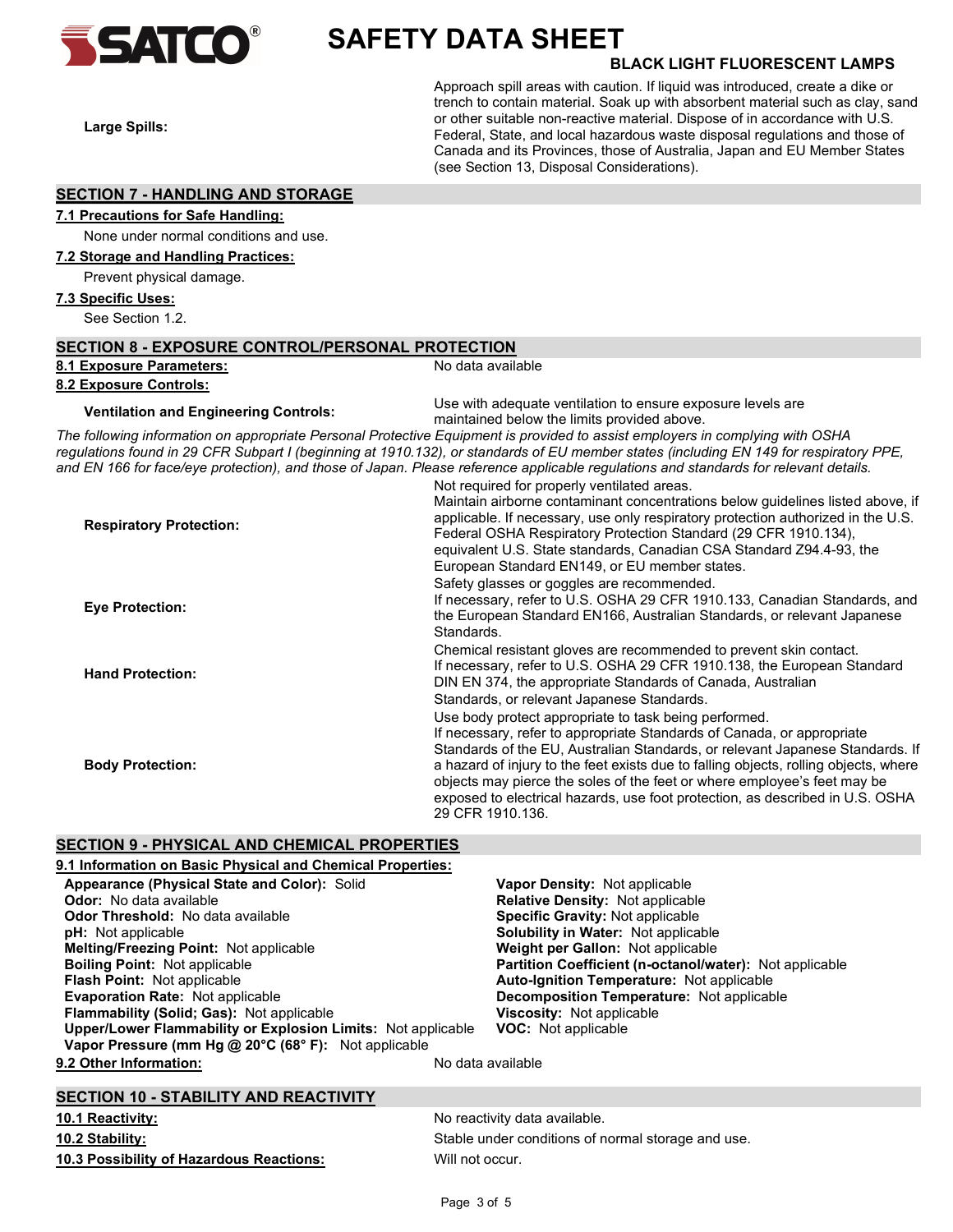

# SAFETY DATA SHEET **SATCO** SAFETY DATA SHEET

Large Spills:

Approach spill areas with caution. If liquid was introduced, create a dike or trench to contain material. Soak up with absorbent material such as clay, sand or other suitable non-reactive material. Dispose of in accordance with U.S. Federal, State, and local hazardous waste disposal regulations and those of Canada and its Provinces, those of Australia, Japan and EU Member States (see Section 13, Disposal Considerations).

### SECTION 7 - HANDLING AND STORAGE

# 7.1 Precautions for Safe Handling:

None under normal conditions and use.

# 7.2 Storage and Handling Practices:

Prevent physical damage.

### 7.3 Specific Uses:

See Section 1.2.

| <b>SECTION 8 - EXPOSURE CONTROL/PERSONAL PROTECTION</b> |                                                                                                                                                                                                                                                                                                                                                                                                                                                                                                                                         |  |
|---------------------------------------------------------|-----------------------------------------------------------------------------------------------------------------------------------------------------------------------------------------------------------------------------------------------------------------------------------------------------------------------------------------------------------------------------------------------------------------------------------------------------------------------------------------------------------------------------------------|--|
| 8.1 Exposure Parameters:                                | No data available                                                                                                                                                                                                                                                                                                                                                                                                                                                                                                                       |  |
| 8.2 Exposure Controls:                                  |                                                                                                                                                                                                                                                                                                                                                                                                                                                                                                                                         |  |
| <b>Ventilation and Engineering Controls:</b>            | Use with adequate ventilation to ensure exposure levels are<br>maintained below the limits provided above.                                                                                                                                                                                                                                                                                                                                                                                                                              |  |
|                                                         | The following information on appropriate Personal Protective Equipment is provided to assist employers in complying with OSHA<br>regulations found in 29 CFR Subpart I (beginning at 1910.132), or standards of EU member states (including EN 149 for respiratory PPE,<br>and EN 166 for face/eye protection), and those of Japan. Please reference applicable regulations and standards for relevant details.                                                                                                                         |  |
| <b>Respiratory Protection:</b>                          | Not required for properly ventilated areas.<br>Maintain airborne contaminant concentrations below guidelines listed above, if<br>applicable. If necessary, use only respiratory protection authorized in the U.S.<br>Federal OSHA Respiratory Protection Standard (29 CFR 1910.134),<br>equivalent U.S. State standards, Canadian CSA Standard Z94.4-93, the<br>European Standard EN149, or EU member states.                                                                                                                           |  |
| <b>Eye Protection:</b>                                  | Safety glasses or goggles are recommended.<br>If necessary, refer to U.S. OSHA 29 CFR 1910.133, Canadian Standards, and<br>the European Standard EN166, Australian Standards, or relevant Japanese<br>Standards.                                                                                                                                                                                                                                                                                                                        |  |
| <b>Hand Protection:</b>                                 | Chemical resistant gloves are recommended to prevent skin contact.<br>If necessary, refer to U.S. OSHA 29 CFR 1910.138, the European Standard<br>DIN EN 374, the appropriate Standards of Canada, Australian                                                                                                                                                                                                                                                                                                                            |  |
| <b>Body Protection:</b>                                 | Standards, or relevant Japanese Standards.<br>Use body protect appropriate to task being performed.<br>If necessary, refer to appropriate Standards of Canada, or appropriate<br>Standards of the EU, Australian Standards, or relevant Japanese Standards. If<br>a hazard of injury to the feet exists due to falling objects, rolling objects, where<br>objects may pierce the soles of the feet or where employee's feet may be<br>exposed to electrical hazards, use foot protection, as described in U.S. OSHA<br>29 CFR 1910.136. |  |

### SECTION 9 - PHYSICAL AND CHEMICAL PROPERTIES

| 9.1 Information on Basic Physical and Chemical Properties:   |                                                                |
|--------------------------------------------------------------|----------------------------------------------------------------|
| Appearance (Physical State and Color): Solid                 | <b>Vapor Density: Not applicable</b>                           |
| <b>Odor:</b> No data available                               | <b>Relative Density: Not applicable</b>                        |
| <b>Odor Threshold: No data available</b>                     | <b>Specific Gravity: Not applicable</b>                        |
| <b>pH:</b> Not applicable                                    | <b>Solubility in Water: Not applicable</b>                     |
| Melting/Freezing Point: Not applicable                       | <b>Weight per Gallon: Not applicable</b>                       |
| <b>Boiling Point:</b> Not applicable                         | <b>Partition Coefficient (n-octanol/water):</b> Not applicable |
| <b>Flash Point: Not applicable</b>                           | <b>Auto-Ignition Temperature: Not applicable</b>               |
| <b>Evaporation Rate: Not applicable</b>                      | <b>Decomposition Temperature:</b> Not applicable               |
| <b>Flammability (Solid: Gas): Not applicable</b>             | <b>Viscosity: Not applicable</b>                               |
| Upper/Lower Flammability or Explosion Limits: Not applicable | <b>VOC:</b> Not applicable                                     |
| Vapor Pressure (mm Hg @ 20°C (68° F): Not applicable         |                                                                |
| 9.2 Other Information:                                       | No data available                                              |

### SECTION 10 - STABILITY AND REACTIVITY

10.3 Possibility of Hazardous Reactions: Will not occur.

10.1 Reactivity: The same state of the set of the North More activity data available. 10.2 Stability: Stable under conditions of normal storage and use.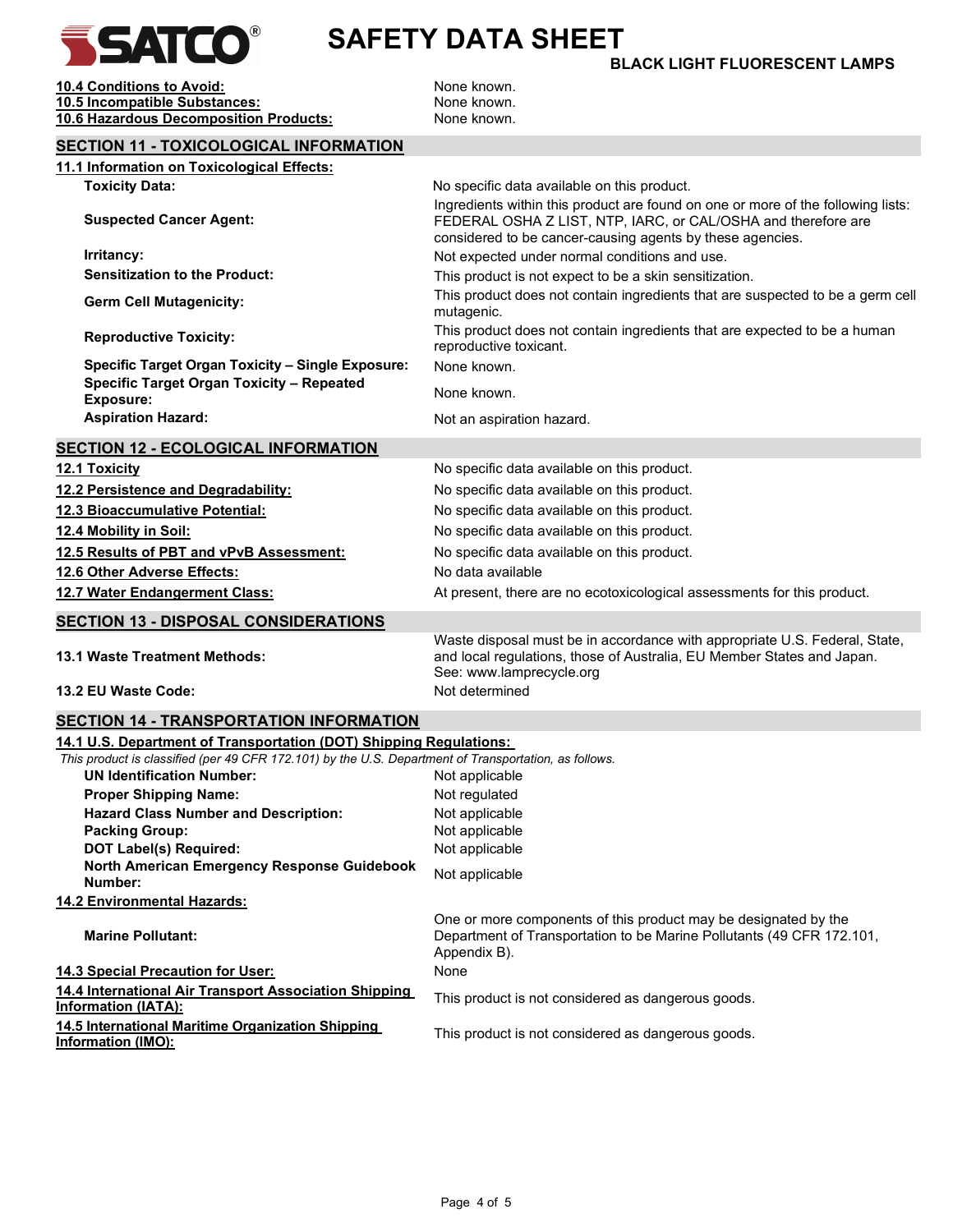

# SAFETY DATA SHEET

# BLACK LIGHT FLUORESCENT LAMPS

**10.4 Conditions to Avoid:** None known. 10.5 Incompatible Substances: None known. 10.6 Hazardous Decomposition Products: None known.

| <b>SECTION 11 - TOXICOLOGICAL INFORMATION</b>                                                                                             |                                                                                                                                                                                                                                                               |
|-------------------------------------------------------------------------------------------------------------------------------------------|---------------------------------------------------------------------------------------------------------------------------------------------------------------------------------------------------------------------------------------------------------------|
| 11.1 Information on Toxicological Effects:                                                                                                |                                                                                                                                                                                                                                                               |
| <b>Toxicity Data:</b><br><b>Suspected Cancer Agent:</b>                                                                                   | No specific data available on this product.<br>Ingredients within this product are found on one or more of the following lists:<br>FEDERAL OSHA Z LIST, NTP, IARC, or CAL/OSHA and therefore are<br>considered to be cancer-causing agents by these agencies. |
| Irritancy:                                                                                                                                | Not expected under normal conditions and use.                                                                                                                                                                                                                 |
| <b>Sensitization to the Product:</b>                                                                                                      | This product is not expect to be a skin sensitization.                                                                                                                                                                                                        |
| <b>Germ Cell Mutagenicity:</b>                                                                                                            | This product does not contain ingredients that are suspected to be a germ cell<br>mutagenic.                                                                                                                                                                  |
| <b>Reproductive Toxicity:</b>                                                                                                             | This product does not contain ingredients that are expected to be a human<br>reproductive toxicant.                                                                                                                                                           |
| <b>Specific Target Organ Toxicity - Single Exposure:</b>                                                                                  | None known.                                                                                                                                                                                                                                                   |
| Specific Target Organ Toxicity - Repeated<br><b>Exposure:</b>                                                                             | None known.                                                                                                                                                                                                                                                   |
| <b>Aspiration Hazard:</b>                                                                                                                 | Not an aspiration hazard.                                                                                                                                                                                                                                     |
| <b>SECTION 12 - ECOLOGICAL INFORMATION</b>                                                                                                |                                                                                                                                                                                                                                                               |
| 12.1 Toxicity                                                                                                                             | No specific data available on this product.                                                                                                                                                                                                                   |
| 12.2 Persistence and Degradability:                                                                                                       | No specific data available on this product.                                                                                                                                                                                                                   |
| 12.3 Bioaccumulative Potential:                                                                                                           | No specific data available on this product.                                                                                                                                                                                                                   |
| 12.4 Mobility in Soil:                                                                                                                    | No specific data available on this product.                                                                                                                                                                                                                   |
| 12.5 Results of PBT and vPvB Assessment:                                                                                                  | No specific data available on this product.                                                                                                                                                                                                                   |
| 12.6 Other Adverse Effects:                                                                                                               | No data available                                                                                                                                                                                                                                             |
| 12.7 Water Endangerment Class:                                                                                                            | At present, there are no ecotoxicological assessments for this product.                                                                                                                                                                                       |
|                                                                                                                                           |                                                                                                                                                                                                                                                               |
| <b>SECTION 13 - DISPOSAL CONSIDERATIONS</b>                                                                                               |                                                                                                                                                                                                                                                               |
| 13.1 Waste Treatment Methods:                                                                                                             | Waste disposal must be in accordance with appropriate U.S. Federal, State,<br>and local regulations, those of Australia, EU Member States and Japan.<br>See: www.lamprecycle.org                                                                              |
| 13.2 EU Waste Code:                                                                                                                       | Not determined                                                                                                                                                                                                                                                |
| <b>SECTION 14 - TRANSPORTATION INFORMATION</b>                                                                                            |                                                                                                                                                                                                                                                               |
| 14.1 U.S. Department of Transportation (DOT) Shipping Regulations:                                                                        |                                                                                                                                                                                                                                                               |
| This product is classified (per 49 CFR 172.101) by the U.S. Department of Transportation, as follows.<br><b>UN Identification Number:</b> |                                                                                                                                                                                                                                                               |
| <b>Proper Shipping Name:</b>                                                                                                              | Not applicable<br>Not regulated                                                                                                                                                                                                                               |
| <b>Hazard Class Number and Description:</b>                                                                                               | Not applicable                                                                                                                                                                                                                                                |
| <b>Packing Group:</b>                                                                                                                     | Not applicable                                                                                                                                                                                                                                                |
| <b>DOT Label(s) Required:</b>                                                                                                             | Not applicable                                                                                                                                                                                                                                                |
| North American Emergency Response Guidebook<br>Number:                                                                                    | Not applicable                                                                                                                                                                                                                                                |
| 14.2 Environmental Hazards:                                                                                                               |                                                                                                                                                                                                                                                               |
| <b>Marine Pollutant:</b>                                                                                                                  | One or more components of this product may be designated by the<br>Department of Transportation to be Marine Pollutants (49 CFR 172.101,<br>Appendix B).                                                                                                      |
| 14.3 Special Precaution for User:                                                                                                         | None                                                                                                                                                                                                                                                          |
| 14.4 International Air Transport Association Shipping<br><b>Information (IATA):</b>                                                       | This product is not considered as dangerous goods.                                                                                                                                                                                                            |
| 14.5 International Maritime Organization Shipping<br>Information (IMO):                                                                   | This product is not considered as dangerous goods.                                                                                                                                                                                                            |
|                                                                                                                                           |                                                                                                                                                                                                                                                               |